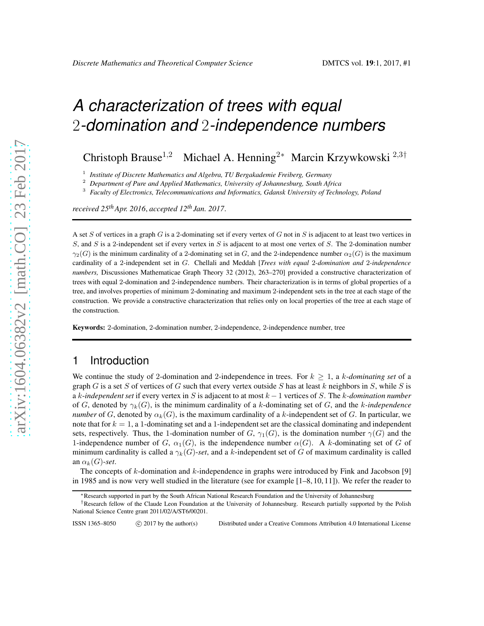# *A characterization of trees with equal* 2*-domination and* 2*-independence numbers*

Christoph Brause<sup>1,2</sup> Michael A. Henning<sup>2∗</sup> Marcin Krzywkowski<sup>2,3†</sup>

1 *Institute of Discrete Mathematics and Algebra, TU Bergakademie Freiberg, Germany*

<sup>2</sup> *Department of Pure and Applied Mathematics, University of Johannesburg, South Africa*

<sup>3</sup> *Faculty of Electronics, Telecommunications and Informatics, Gdansk University of Technology, Poland*

*received 25thApr. 2016*, *accepted 12th Jan. 2017*.

A set S of vertices in a graph G is a 2-dominating set if every vertex of G not in S is adjacent to at least two vertices in S, and S is a 2-independent set if every vertex in S is adjacent to at most one vertex of S. The 2-domination number  $\gamma_2(G)$  is the minimum cardinality of a 2-dominating set in G, and the 2-independence number  $\alpha_2(G)$  is the maximum cardinality of a 2-independent set in G. Chellali and Meddah [*Trees with equal* 2*-domination and* 2*-independence numbers,* Discussiones Mathematicae Graph Theory 32 (2012), 263–270] provided a constructive characterization of trees with equal 2-domination and 2-independence numbers. Their characterization is in terms of global properties of a tree, and involves properties of minimum 2-dominating and maximum 2-independent sets in the tree at each stage of the construction. We provide a constructive characterization that relies only on local properties of the tree at each stage of the construction.

Keywords: 2-domination, 2-domination number, 2-independence, 2-independence number, tree

# 1 Introduction

We continue the study of 2-domination and 2-independence in trees. For  $k \geq 1$ , a k-*dominating set* of a graph G is a set S of vertices of G such that every vertex outside S has at least k neighbors in S, while S is a k-*independent set* if every vertex in S is adjacent to at most k − 1 vertices of S. The k*-domination number* of G, denoted by  $\gamma_k(G)$ , is the minimum cardinality of a k-dominating set of G, and the k-independence *number* of G, denoted by  $\alpha_k(G)$ , is the maximum cardinality of a k-independent set of G. In particular, we note that for  $k = 1$ , a 1-dominating set and a 1-independent set are the classical dominating and independent sets, respectively. Thus, the 1-domination number of G,  $\gamma_1(G)$ , is the domination number  $\gamma(G)$  and the 1-independence number of G,  $\alpha_1(G)$ , is the independence number  $\alpha(G)$ . A k-dominating set of G of minimum cardinality is called a  $\gamma_k(G)$ -set, and a k-independent set of G of maximum cardinality is called an  $\alpha_k(G)$ -set.

The concepts of  $k$ -domination and  $k$ -independence in graphs were introduced by Fink and Jacobson [9] in 1985 and is now very well studied in the literature (see for example [1–8, 10, 11]). We refer the reader to

<sup>∗</sup>Research supported in part by the South African National Research Foundation and the University of Johannesburg

<sup>†</sup>Research fellow of the Claude Leon Foundation at the University of Johannesburg. Research partially supported by the Polish National Science Centre grant 2011/02/A/ST6/00201.

ISSN 1365–8050 (C) 2017 by the author(s) Distributed under a Creative Commons Attribution 4.0 International License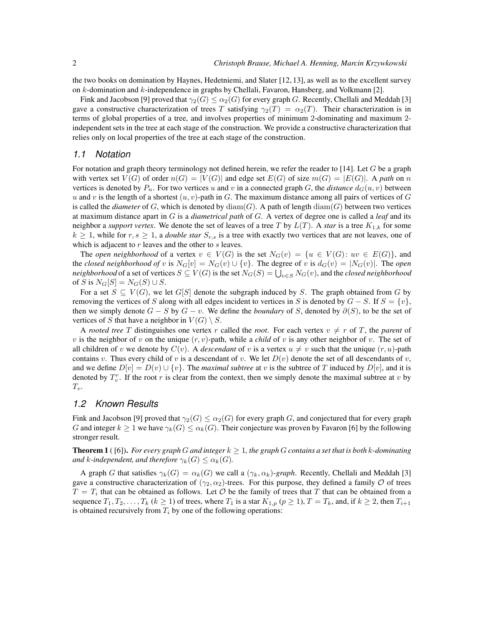the two books on domination by Haynes, Hedetniemi, and Slater [12, 13], as well as to the excellent survey on  $k$ -domination and  $k$ -independence in graphs by Chellali, Favaron, Hansberg, and Volkmann [2].

Fink and Jacobson [9] proved that  $\gamma_2(G) \leq \alpha_2(G)$  for every graph G. Recently, Chellali and Meddah [3] gave a constructive characterization of trees T satisfying  $\gamma_2(T) = \alpha_2(T)$ . Their characterization is in terms of global properties of a tree, and involves properties of minimum 2-dominating and maximum 2 independent sets in the tree at each stage of the construction. We provide a constructive characterization that relies only on local properties of the tree at each stage of the construction.

#### *1.1 Notation*

For notation and graph theory terminology not defined herein, we refer the reader to [14]. Let  $G$  be a graph with vertex set  $V(G)$  of order  $n(G) = |V(G)|$  and edge set  $E(G)$  of size  $m(G) = |E(G)|$ . A path on n vertices is denoted by  $P_n$ . For two vertices u and v in a connected graph G, the *distance*  $d_G(u, v)$  between u and v is the length of a shortest  $(u, v)$ -path in G. The maximum distance among all pairs of vertices of G is called the *diameter* of G, which is denoted by  $\text{diam}(G)$ . A path of length  $\text{diam}(G)$  between two vertices at maximum distance apart in G is a *diametrical path* of G. A vertex of degree one is called a *leaf* and its neighbor a *support vertex*. We denote the set of leaves of a tree T by  $L(T)$ . A *star* is a tree  $K_{1,k}$  for some  $k \geq 1$ , while for  $r, s \geq 1$ , a *double star*  $S_{r,s}$  is a tree with exactly two vertices that are not leaves, one of which is adjacent to  $r$  leaves and the other to  $s$  leaves.

The *open neighborhood* of a vertex  $v \in V(G)$  is the set  $N_G(v) = \{u \in V(G): uv \in E(G)\}\)$ , and the *closed neighborhood of* v is  $N_G[v] = N_G(v) \cup \{v\}$ . The degree of v is  $d_G(v) = |N_G(v)|$ . The *open neighborhood* of a set of vertices  $S\subseteq V(G)$  is the set  $N_G(S)=\bigcup_{v\in S}N_G(v),$  and the *closed neighborhood* of S is  $N_G[S] = N_G(S) \cup S$ .

For a set  $S \subseteq V(G)$ , we let  $G[S]$  denote the subgraph induced by S. The graph obtained from G by removing the vertices of S along with all edges incident to vertices in S is denoted by  $G - S$ . If  $S = \{v\}$ , then we simply denote  $G - S$  by  $G - v$ . We define the *boundary* of S, denoted by  $\partial(S)$ , to be the set of vertices of S that have a neighbor in  $V(G) \setminus S$ .

A *rooted tree* T distinguishes one vertex r called the *root*. For each vertex  $v \neq r$  of T, the *parent* of v is the neighbor of v on the unique  $(r, v)$ -path, while a *child* of v is any other neighbor of v. The set of all children of v we denote by  $C(v)$ . A *descendant* of v is a vertex  $u \neq v$  such that the unique  $(r, u)$ -path contains v. Thus every child of v is a descendant of v. We let  $D(v)$  denote the set of all descendants of v, and we define  $D[v] = D(v) \cup \{v\}$ . The *maximal subtree* at v is the subtree of T induced by  $D[v]$ , and it is denoted by  $T_v^r$ . If the root r is clear from the context, then we simply denote the maximal subtree at v by  $T_v$ .

#### *1.2 Known Results*

Fink and Jacobson [9] proved that  $\gamma_2(G) \leq \alpha_2(G)$  for every graph G, and conjectured that for every graph G and integer  $k \geq 1$  we have  $\gamma_k(G) \leq \alpha_k(G)$ . Their conjecture was proven by Favaron [6] by the following stronger result.

**Theorem 1** ([6]). For every graph G and integer  $k \geq 1$ , the graph G contains a set that is both k-dominating *and* k-independent, and therefore  $\gamma_k(G) \leq \alpha_k(G)$ .

A graph G that satisfies  $\gamma_k(G) = \alpha_k(G)$  we call a  $(\gamma_k, \alpha_k)$ -graph. Recently, Chellali and Meddah [3] gave a constructive characterization of  $(\gamma_2, \alpha_2)$ -trees. For this purpose, they defined a family  $\mathcal O$  of trees  $T = T_i$  that can be obtained as follows. Let  $\mathcal O$  be the family of trees that T that can be obtained from a sequence  $T_1, T_2, \ldots, T_k$   $(k \ge 1)$  of trees, where  $T_1$  is a star  $K_{1,p}$   $(p \ge 1)$ ,  $T = T_k$ , and, if  $k \ge 2$ , then  $T_{i+1}$ is obtained recursively from  $T_i$  by one of the following operations: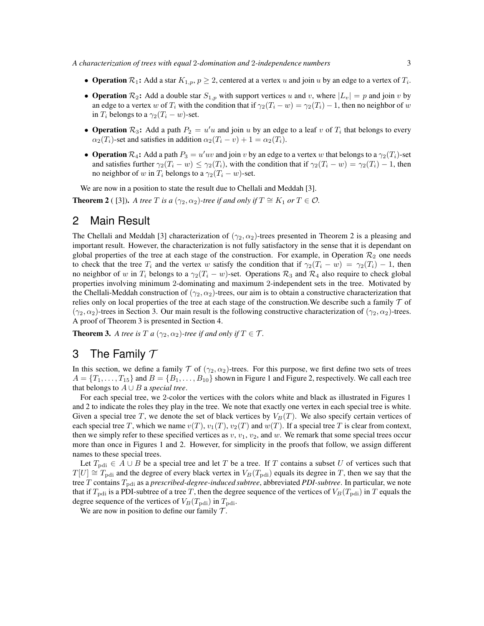- Operation  $\mathcal{R}_1$ : Add a star  $K_{1,p}$ ,  $p \geq 2$ , centered at a vertex u and join u by an edge to a vertex of  $T_i$ .
- Operation  $\mathcal{R}_2$ : Add a double star  $S_{1,p}$  with support vertices u and v, where  $|L_v| = p$  and join v by an edge to a vertex w of  $T_i$  with the condition that if  $\gamma_2(T_i - w) = \gamma_2(T_i) - 1$ , then no neighbor of w in  $T_i$  belongs to a  $\gamma_2(T_i - w)$ -set.
- Operation  $\mathcal{R}_3$ : Add a path  $P_2 = u'u$  and join u by an edge to a leaf v of  $T_i$  that belongs to every  $\alpha_2(T_i)$ -set and satisfies in addition  $\alpha_2(T_i - v) + 1 = \alpha_2(T_i)$ .
- Operation  $\mathcal{R}_4$ : Add a path  $P_3 = u'uv$  and join v by an edge to a vertex w that belongs to a  $\gamma_2(T_i)$ -set and satisfies further  $\gamma_2(T_i - w) \leq \gamma_2(T_i)$ , with the condition that if  $\gamma_2(T_i - w) = \gamma_2(T_i) - 1$ , then no neighbor of w in  $T_i$  belongs to a  $\gamma_2(T_i - w)$ -set.

We are now in a position to state the result due to Chellali and Meddah [3].

**Theorem 2** ( [3]). *A tree T is a* ( $\gamma_2$ ,  $\alpha_2$ )-tree *if and only if*  $T \cong K_1$  *or*  $T \in \mathcal{O}$ .

### 2 Main Result

The Chellali and Meddah [3] characterization of  $(\gamma_2, \alpha_2)$ -trees presented in Theorem 2 is a pleasing and important result. However, the characterization is not fully satisfactory in the sense that it is dependant on global properties of the tree at each stage of the construction. For example, in Operation  $\mathcal{R}_2$  one needs to check that the tree  $T_i$  and the vertex w satisfy the condition that if  $\gamma_2(T_i - w) = \gamma_2(T_i) - 1$ , then no neighbor of w in  $T_i$  belongs to a  $\gamma_2(T_i - w)$ -set. Operations  $\mathcal{R}_3$  and  $\mathcal{R}_4$  also require to check global properties involving minimum 2-dominating and maximum 2-independent sets in the tree. Motivated by the Chellali-Meddah construction of  $(\gamma_2, \alpha_2)$ -trees, our aim is to obtain a constructive characterization that relies only on local properties of the tree at each stage of the construction. We describe such a family  $\tau$  of  $(\gamma_2, \alpha_2)$ -trees in Section 3. Our main result is the following constructive characterization of  $(\gamma_2, \alpha_2)$ -trees. A proof of Theorem 3 is presented in Section 4.

**Theorem 3.** *A tree is*  $T a(\gamma_2, \alpha_2)$ -tree if and only if  $T \in \mathcal{T}$ .

## 3 The Family  $T$

In this section, we define a family T of  $(\gamma_2, \alpha_2)$ -trees. For this purpose, we first define two sets of trees  $A = \{T_1, \ldots, T_{15}\}\$ and  $B = \{B_1, \ldots, B_{10}\}\$ shown in Figure 1 and Figure 2, respectively. We call each tree that belongs to  $A \cup B$  a *special tree*.

For each special tree, we 2-color the vertices with the colors white and black as illustrated in Figures 1 and 2 to indicate the roles they play in the tree. We note that exactly one vertex in each special tree is white. Given a special tree T, we denote the set of black vertices by  $V_B(T)$ . We also specify certain vertices of each special tree T, which we name  $v(T)$ ,  $v_1(T)$ ,  $v_2(T)$  and  $w(T)$ . If a special tree T is clear from context, then we simply refer to these specified vertices as  $v, v_1, v_2$ , and w. We remark that some special trees occur more than once in Figures 1 and 2. However, for simplicity in the proofs that follow, we assign different names to these special trees.

Let  $T_{\text{pdi}} \in A \cup B$  be a special tree and let T be a tree. If T contains a subset U of vertices such that  $T[U] \cong T_{\text{pdi}}$  and the degree of every black vertex in  $V_B(T_{\text{pdi}})$  equals its degree in T, then we say that the tree T contains Tpdi as a *prescribed-degree-induced subtree*, abbreviated *PDI-subtree*. In particular, we note that if  $T_{\text{pdi}}$  is a PDI-subtree of a tree T, then the degree sequence of the vertices of  $V_B(T_{\text{pdi}})$  in T equals the degree sequence of the vertices of  $V_B(T_{\text{pdi}})$  in  $T_{\text{pdi}}$ .

We are now in position to define our family  $\mathcal{T}$ .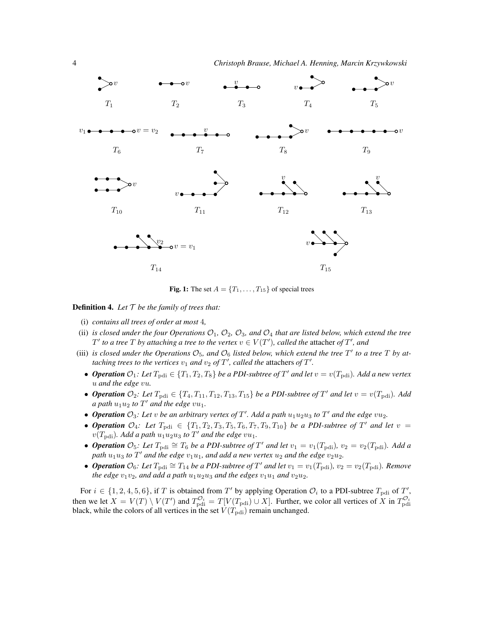

Fig. 1: The set  $A = \{T_1, \ldots, T_{15}\}\$  of special trees

**Definition 4.** Let  $T$  be the family of trees that:

- (i) *contains all trees of order at most* 4*,*
- (ii) *is closed under the four Operations*  $O_1$ ,  $O_2$ ,  $O_3$ , and  $O_4$  *that are listed below, which extend the tree*  $T'$  to a tree  $T$  by attaching a tree to the vertex  $v \in V(T')$ , called the attacher of  $T'$ , and
- (iii) *is closed under the Operations*  $\mathcal{O}_5$ , and  $\mathcal{O}_6$  *listed below, which extend the tree*  $T'$  *to a tree*  $T$  *by attaching trees to the vertices*  $v_1$  *and*  $v_2$  *of*  $T'$ *, called the attachers of*  $T'$ *.* 
	- *Operation*  $\mathcal{O}_1$ : Let  $T_{\text{pdi}} \in \{T_1, T_2, T_8\}$  be a PDI-subtree of T' and let  $v = v(T_{\text{pdi}})$ . Add a new vertex u *and the edge* vu*.*
	- *Operation*  $\mathcal{O}_2$ : Let  $T_{\text{pdi}} \in \{T_4, T_{11}, T_{12}, T_{13}, T_{15}\}$  be a PDI-subtree of  $T'$  and let  $v = v(T_{\text{pdi}})$ . Add *a* path  $u_1u_2$  to  $T'$  and the edge  $vu_1$ .
	- Operation  $\mathcal{O}_3$ : Let v be an arbitrary vertex of T'. Add a path  $u_1u_2u_3$  to T' and the edge  $vu_2$ .
	- *Operation*  $\mathcal{O}_4$ : Let  $T_{\text{pdi}} \in \{T_1, T_2, T_3, T_5, T_6, T_7, T_9, T_{10}\}$  be a PDI-subtree of T' and let  $v =$  $v(T_{\text{pdi}})$ . Add a path  $u_1 u_2 u_3$  to  $T'$  and the edge  $vu_1$ .
	- *Operation*  $\mathcal{O}_5$ : Let  $T_{\text{pdi}} \cong T_6$  be a PDI-subtree of T' and let  $v_1 = v_1(T_{\text{pdi}})$ ,  $v_2 = v_2(T_{\text{pdi}})$ . Add a  $\phi$ *path*  $u_1u_3$  to  $T'$  and the edge  $v_1u_1$ , and add a new vertex  $u_2$  and the edge  $v_2u_2$ .
	- *Operation*  $\mathcal{O}_6$ : Let  $T_{\text{pdi}} \cong T_{14}$  be a PDI-subtree of T' and let  $v_1 = v_1(T_{\text{pdi}})$ ,  $v_2 = v_2(T_{\text{pdi}})$ . Remove *the edge*  $v_1v_2$ *, and add a path*  $u_1u_2u_3$  *and the edges*  $v_1u_1$  *and*  $v_2u_2$ *.*

For  $i \in \{1, 2, 4, 5, 6\}$ , if T is obtained from T' by applying Operation  $\mathcal{O}_i$  to a PDI-subtree  $T_{\text{pdi}}$  of T', then we let  $X = V(T) \setminus V(T')$  and  $T_{\text{pdi}}^{\mathcal{O}_i} = T[V(T_{\text{pdi}}) \cup X]$ . Further, we color all vertices of X in  $T_{\text{pdi}}^{\mathcal{O}_i}$ black, while the colors of all vertices in the set  $V(T_{\text{pdi}})$  remain unchanged.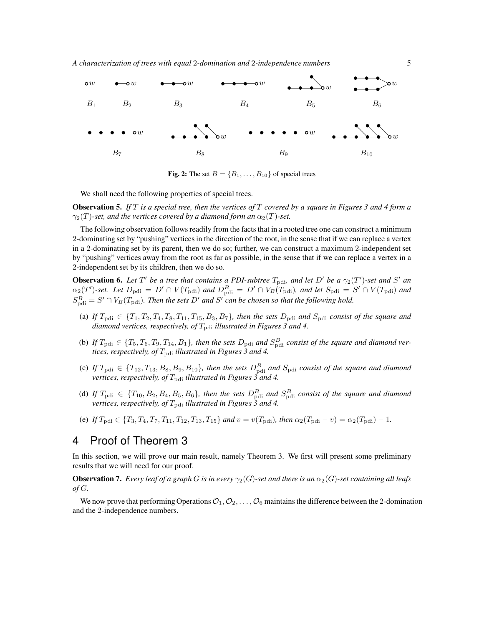

Fig. 2: The set  $B = \{B_1, \ldots, B_{10}\}$  of special trees

We shall need the following properties of special trees.

Observation 5. *If* T *is a special tree, then the vertices of* T *covered by a square in Figures 3 and 4 form a*  $\gamma_2(T)$ *-set, and the vertices covered by a diamond form an*  $\alpha_2(T)$ *-set.* 

The following observation follows readily from the facts that in a rooted tree one can construct a minimum 2-dominating set by "pushing" vertices in the direction of the root, in the sense that if we can replace a vertex in a 2-dominating set by its parent, then we do so; further, we can construct a maximum 2-independent set by "pushing" vertices away from the root as far as possible, in the sense that if we can replace a vertex in a 2-independent set by its children, then we do so.

**Observation 6.** Let T' be a tree that contains a PDI-subtree  $T_{\text{pdi}}$ , and let D' be a  $\gamma_2(T')$ -set and S' and  $\alpha_2(T')$ -set. Let  $D_{\text{pdi}} = D' \cap V(T_{\text{pdi}})$  and  $D_{\text{pdi}}^B = D' \cap V_B(T_{\text{pdi}})$ , and let  $S_{\text{pdi}} = S' \cap V(T_{\text{pdi}})$  and  $S_{\text{pdi}}^B = S' \cap V_B(T_{\text{pdi}})$ . Then the sets D' and S' can be chosen so that the following hold.

- (a) If  $T_{\text{pdi}} \in \{T_1, T_2, T_4, T_8, T_{11}, T_{15}, B_3, B_7\}$ , then the sets  $D_{\text{pdi}}$  and  $S_{\text{pdi}}$  consist of the square and *diamond vertices, respectively, of*  $T_{\text{pdi}}$  *illustrated in Figures 3 and 4.*
- (b) If  $T_{\text{pdi}} \in \{T_5, T_6, T_9, T_{14}, B_1\}$ , then the sets  $D_{\text{pdi}}$  and  $S_{\text{pdi}}^B$  consist of the square and diamond ver*tices, respectively, of*  $T_{\text{pdi}}$  *illustrated in Figures 3 and 4.*
- (c) If  $T_{\text{pdi}} \in \{T_{12}, T_{13}, B_8, B_9, B_{10}\}$ , then the sets  $D_{\text{pdi}}^B$  and  $S_{\text{pdi}}$  consist of the square and diamond *vertices, respectively, of*  $T_{\text{pdi}}$  *illustrated in Figures 3 and 4.*
- (d) If  $T_{\text{pdi}} \in \{T_{10}, B_2, B_4, B_5, B_6\}$ , then the sets  $D_{\text{pdi}}^B$  and  $S_{\text{pdi}}^B$  consist of the square and diamond *vertices, respectively, of*  $T_{\text{pdi}}$  *illustrated in Figures 3 and 4.*
- (e) *If*  $T_{\text{pdi}} \in \{T_3, T_4, T_7, T_{11}, T_{12}, T_{13}, T_{15}\}$  *and*  $v = v(T_{\text{pdi}})$ *, then*  $\alpha_2(T_{\text{pdi}} v) = \alpha_2(T_{\text{pdi}}) 1$ *.*

# 4 Proof of Theorem 3

In this section, we will prove our main result, namely Theorem 3. We first will present some preliminary results that we will need for our proof.

**Observation 7.** *Every leaf of a graph* G is in every  $\gamma_2(G)$ -set and there is an  $\alpha_2(G)$ -set containing all leafs *of* G*.*

We now prove that performing Operations  $\mathcal{O}_1, \mathcal{O}_2, \ldots, \mathcal{O}_6$  maintains the difference between the 2-domination and the 2-independence numbers.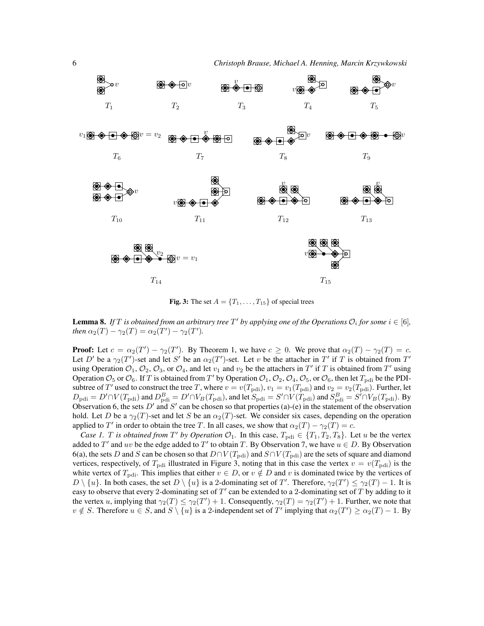

Fig. 3: The set  $A = \{T_1, \ldots, T_{15}\}\$  of special trees

**Lemma 8.** If T is obtained from an arbitrary tree T' by applying one of the Operations  $\mathcal{O}_i$  for some  $i \in [6]$ , *then*  $\alpha_2(T) - \gamma_2(T) = \alpha_2(T') - \gamma_2(T')$ *.* 

**Proof:** Let  $c = \alpha_2(T') - \gamma_2(T')$ . By Theorem 1, we have  $c \ge 0$ . We prove that  $\alpha_2(T) - \gamma_2(T) = c$ . Let D' be a  $\gamma_2(T')$ -set and let S' be an  $\alpha_2(T')$ -set. Let v be the attacher in T' if T is obtained from T' using Operation  $\mathcal{O}_1$ ,  $\mathcal{O}_2$ ,  $\mathcal{O}_3$ , or  $\mathcal{O}_4$ , and let  $v_1$  and  $v_2$  be the attachers in  $T'$  if  $T$  is obtained from  $T'$  using Operation  $\mathcal{O}_5$  or  $\mathcal{O}_6$ . If T is obtained from T' by Operation  $\mathcal{O}_1$ ,  $\mathcal{O}_2$ ,  $\mathcal{O}_4$ ,  $\mathcal{O}_5$ , or  $\mathcal{O}_6$ , then let  $T_{\text{pdi}}$  be the PDIsubtree of T' used to construct the tree T, where  $v = v(T_{\text{pdi}})$ ,  $v_1 = v_1(T_{\text{pdi}})$  and  $v_2 = v_2(T_{\text{pdi}})$ . Further, let  $D_{\rm pdi} = D' \cap V(T_{\rm pdi})$  and  $D_{\rm pdi}^B = D' \cap V_B(T_{\rm pdi})$ , and let  $S_{\rm pdi} = S' \cap V(T_{\rm pdi})$  and  $S_{\rm pdi}^B = S' \cap V_B(T_{\rm pdi})$ . By Observation 6, the sets  $D'$  and  $S'$  can be chosen so that properties (a)-(e) in the statement of the observation hold. Let D be a  $\gamma_2(T)$ -set and let S be an  $\alpha_2(T)$ -set. We consider six cases, depending on the operation applied to T' in order to obtain the tree T. In all cases, we show that  $\alpha_2(T) - \gamma_2(T) = c$ .

*Case 1. T is obtained from*  $T'$  *by Operation*  $\mathcal{O}_1$ *.* In this case,  $T_{\text{pdi}} \in \{T_1, T_2, T_8\}$ *.* Let *u* be the vertex added to T' and uv be the edge added to T' to obtain T. By Observation 7, we have  $u \in D$ . By Observation 6(a), the sets D and S can be chosen so that  $D \cap V(T_{\text{pdi}})$  and  $S \cap V(T_{\text{pdi}})$  are the sets of square and diamond vertices, respectively, of  $T_{\text{pdi}}$  illustrated in Figure 3, noting that in this case the vertex  $v = v(T_{\text{pdi}})$  is the white vertex of  $T_{\text{pdi}}$ . This implies that either  $v \in D$ , or  $v \notin D$  and v is dominated twice by the vertices of  $D \setminus \{u\}$ . In both cases, the set  $D \setminus \{u\}$  is a 2-dominating set of T'. Therefore,  $\gamma_2(T') \leq \gamma_2(T) - 1$ . It is easy to observe that every 2-dominating set of  $T'$  can be extended to a 2-dominating set of  $T$  by adding to it the vertex u, implying that  $\gamma_2(T) \leq \gamma_2(T') + 1$ . Consequently,  $\gamma_2(T) = \gamma_2(T') + 1$ . Further, we note that  $v \notin S$ . Therefore  $u \in S$ , and  $S \setminus \{u\}$  is a 2-independent set of T' implying that  $\alpha_2(T') \geq \alpha_2(T) - 1$ . By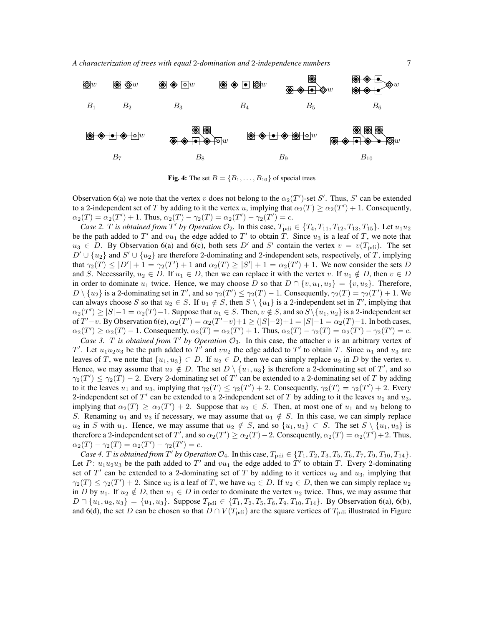

Fig. 4: The set  $B = \{B_1, \ldots, B_{10}\}$  of special trees

Observation 6(a) we note that the vertex v does not belong to the  $\alpha_2(T')$ -set S'. Thus, S' can be extended to a 2-independent set of T by adding to it the vertex u, implying that  $\alpha_2(T) \geq \alpha_2(T') + 1$ . Consequently,  $\alpha_2(T) = \alpha_2(T') + 1$ . Thus,  $\alpha_2(T) - \gamma_2(T) = \alpha_2(T') - \gamma_2(T') = c$ .

*Case 2. T is obtained from*  $T'$  *by Operation*  $\mathcal{O}_2$ *.* In this case,  $T_{\text{pdi}} \in \{T_4, T_{11}, T_{12}, T_{13}, T_{15}\}$ *.* Let  $u_1u_2$ be the path added to T' and  $vu_1$  the edge added to T' to obtain T. Since  $u_3$  is a leaf of T, we note that  $u_3 \in D$ . By Observation 6(a) and 6(c), both sets D' and S' contain the vertex  $v = v(T_{\text{pdi}})$ . The set  $D' \cup \{u_2\}$  and  $S' \cup \{u_2\}$  are therefore 2-dominating and 2-independent sets, respectively, of T, implying that  $\gamma_2(T) \leq |D'| + 1 = \gamma_2(T') + 1$  and  $\alpha_2(T) \geq |S'| + 1 = \alpha_2(T') + 1$ . We now consider the sets D and S. Necessarily,  $u_2 \in D$ . If  $u_1 \in D$ , then we can replace it with the vertex v. If  $u_1 \notin D$ , then  $v \in D$ in order to dominate  $u_1$  twice. Hence, we may choose D so that  $D \cap \{v, u_1, u_2\} = \{v, u_2\}$ . Therefore,  $D \setminus \{u_2\}$  is a 2-dominating set in T', and so  $\gamma_2(T') \leq \gamma_2(T) - 1$ . Consequently,  $\gamma_2(T) = \gamma_2(T') + 1$ . We can always choose S so that  $u_2 \in S$ . If  $u_1 \notin S$ , then  $S \setminus \{u_1\}$  is a 2-independent set in T', implying that  $\alpha_2(T') \ge |S|-1 = \alpha_2(T)-1$ . Suppose that  $u_1 \in S$ . Then,  $v \notin S$ , and so  $S \setminus \{u_1, u_2\}$  is a 2-independent set of  $T'-v$ . By Observation 6(e),  $\alpha_2(T') = \alpha_2(T'-v)+1 \ge (|S|-2)+1 = |S|-1 = \alpha_2(T)-1$ . In both cases,  $\alpha_2(T') \ge \alpha_2(T) - 1$ . Consequently,  $\alpha_2(T) = \alpha_2(T') + 1$ . Thus,  $\alpha_2(T) - \gamma_2(T) = \alpha_2(T') - \gamma_2(T') = c$ .

*Case 3. T is obtained from*  $T'$  *by Operation*  $\mathcal{O}_3$ . In this case, the attacher v is an arbitrary vertex of T'. Let  $u_1u_2u_3$  be the path added to T' and  $vu_2$  the edge added to T' to obtain T. Since  $u_1$  and  $u_3$  are leaves of T, we note that  $\{u_1, u_3\} \subset D$ . If  $u_2 \in D$ , then we can simply replace  $u_2$  in D by the vertex v. Hence, we may assume that  $u_2 \notin D$ . The set  $D \setminus \{u_1, u_3\}$  is therefore a 2-dominating set of T', and so  $\gamma_2(T') \leq \gamma_2(T) - 2$ . Every 2-dominating set of T' can be extended to a 2-dominating set of T by adding to it the leaves  $u_1$  and  $u_3$ , implying that  $\gamma_2(T) \leq \gamma_2(T') + 2$ . Consequently,  $\gamma_2(T) = \gamma_2(T') + 2$ . Every 2-independent set of  $T'$  can be extended to a 2-independent set of  $T$  by adding to it the leaves  $u_1$  and  $u_3$ , implying that  $\alpha_2(T) \ge \alpha_2(T') + 2$ . Suppose that  $u_2 \in S$ . Then, at most one of  $u_1$  and  $u_3$  belong to S. Renaming  $u_1$  and  $u_3$  if necessary, we may assume that  $u_1 \notin S$ . In this case, we can simply replace  $u_2$  in S with  $u_1$ . Hence, we may assume that  $u_2 \notin S$ , and so  $\{u_1, u_3\} \subset S$ . The set  $S \setminus \{u_1, u_3\}$  is therefore a 2-independent set of T', and so  $\alpha_2(T') \geq \alpha_2(T) - 2$ . Consequently,  $\alpha_2(T) = \alpha_2(T') + 2$ . Thus,  $\alpha_2(T) - \gamma_2(T) = \alpha_2(T') - \gamma_2(T') = c.$ 

*Case 4. T is obtained from*  $T'$  *by Operation*  $\mathcal{O}_4$ *.* In this case,  $T_{\text{pdi}} \in \{T_1, T_2, T_3, T_5, T_6, T_7, T_9, T_{10}, T_{14}\}$ *.* Let P:  $u_1u_2u_3$  be the path added to T' and  $vu_1$  the edge added to T' to obtain T. Every 2-dominating set of  $T'$  can be extended to a 2-dominating set of T by adding to it vertices  $u_2$  and  $u_3$ , implying that  $\gamma_2(T) \leq \gamma_2(T') + 2$ . Since  $u_3$  is a leaf of T, we have  $u_3 \in D$ . If  $u_2 \in D$ , then we can simply replace  $u_2$ in D by  $u_1$ . If  $u_2 \notin D$ , then  $u_1 \in D$  in order to dominate the vertex  $u_2$  twice. Thus, we may assume that  $D \cap \{u_1, u_2, u_3\} = \{u_1, u_3\}$ . Suppose  $T_{\text{pdi}} \in \{T_1, T_2, T_5, T_6, T_9, T_{10}, T_{14}\}$ . By Observation 6(a), 6(b), and 6(d), the set D can be chosen so that  $D \cap V(T_{\text{pdi}})$  are the square vertices of  $T_{\text{pdi}}$  illustrated in Figure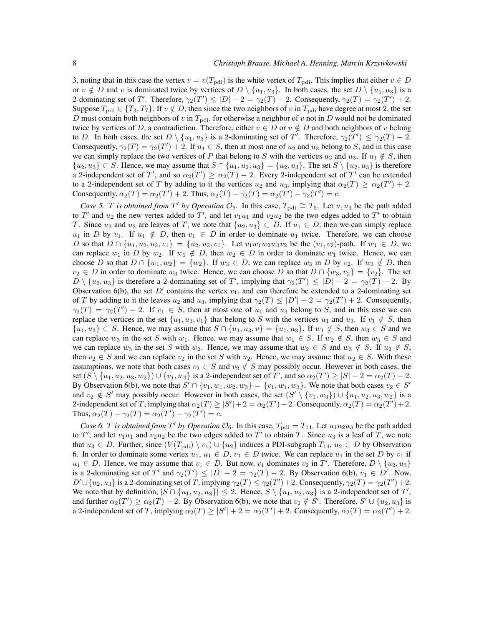3, noting that in this case the vertex  $v = v(T_{\text{pdi}})$  is the white vertex of  $T_{\text{pdi}}$ . This implies that either  $v \in D$ or  $v \notin D$  and v is dominated twice by vertices of  $D \setminus \{u_1, u_3\}$ . In both cases, the set  $D \setminus \{u_1, u_3\}$  is a 2-dominating set of T'. Therefore,  $\gamma_2(T') \le |D| - 2 = \gamma_2(T) - 2$ . Consequently,  $\gamma_2(T) = \gamma_2(T') + 2$ . Suppose  $T_{\text{pdf}} \in \{T_3, T_7\}$ . If  $v \notin D$ , then since the two neighbors of v in  $T_{\text{pdf}}$  have degree at most 2, the set D must contain both neighbors of v in  $T_{\text{pdi}}$ , for otherwise a neighbor of v not in D would not be dominated twice by vertices of D, a contradiction. Therefore, either  $v \in D$  or  $v \notin D$  and both neighbors of v belong to D. In both cases, the set  $D \setminus \{u_1, u_3\}$  is a 2-dominating set of T'. Therefore,  $\gamma_2(T') \leq \gamma_2(T) - 2$ . Consequently,  $\gamma_2(T) = \gamma_2(T') + 2$ . If  $u_1 \in S$ , then at most one of  $u_2$  and  $u_3$  belong to S, and in this case we can simply replace the two vertices of P that belong to S with the vertices  $u_2$  and  $u_3$ . If  $u_1 \notin S$ , then  ${u_2, u_3} \subset S$ . Hence, we may assume that  $S \cap {u_1, u_2, u_3} = {u_2, u_3}$ . The set  $S \setminus {u_2, u_3}$  is therefore a 2-independent set of T', and so  $\alpha_2(T') \ge \alpha_2(T) - 2$ . Every 2-independent set of T' can be extended to a 2-independent set of T by adding to it the vertices  $u_2$  and  $u_3$ , implying that  $\alpha_2(T) \geq \alpha_2(T') + 2$ . Consequently,  $\alpha_2(T) = \alpha_2(T') + 2$ . Thus,  $\alpha_2(T) - \gamma_2(T) = \alpha_2(T') - \gamma_2(T') = c$ .

*Case 5. T is obtained from*  $T'$  *by Operation*  $\mathcal{O}_5$ *.* In this case,  $T_{\text{pdi}} \cong T_6$ *.* Let  $u_1u_3$  be the path added to T' and  $u_2$  the new vertex added to T', and let  $v_1u_1$  and  $v_2u_2$  be the two edges added to T' to obtain T. Since  $u_2$  and  $u_3$  are leaves of T, we note that  $\{u_2, u_3\} \subset D$ . If  $u_1 \in D$ , then we can simply replace  $u_1$  in D by  $v_1$ . If  $u_1 \notin D$ , then  $v_1 \in D$  in order to dominate  $u_1$  twice. Therefore, we can choose D so that  $D \cap \{u_1, u_2, u_3, v_1\} = \{u_2, u_3, v_1\}$ . Let  $v_1w_1w_2w_3v_2$  be the  $(v_1, v_2)$ -path. If  $w_1 \in D$ , we can replace  $w_1$  in D by  $w_2$ . If  $w_1 \notin D$ , then  $w_2 \in D$  in order to dominate  $w_1$  twice. Hence, we can choose D so that  $D \cap \{w_1, w_2\} = \{w_2\}$ . If  $w_3 \in D$ , we can replace  $w_3$  in D by  $v_2$ . If  $w_3 \notin D$ , then  $v_2 \in D$  in order to dominate  $w_3$  twice. Hence, we can choose D so that  $D \cap \{w_3, v_2\} = \{v_2\}$ . The set  $D \setminus \{u_2, u_3\}$  is therefore a 2-dominating set of T', implying that  $\gamma_2(T') \leq |D| - 2 = \gamma_2(T) - 2$ . By Observation 6(b), the set  $D'$  contains the vertex  $v_1$ , and can therefore be extended to a 2-dominating set of T by adding to it the leaves  $u_2$  and  $u_3$ , implying that  $\gamma_2(T) \leq |D'| + 2 = \gamma_2(T') + 2$ . Consequently,  $\gamma_2(T) = \gamma_2(T') + 2$ . If  $v_1 \in S$ , then at most one of  $u_1$  and  $u_3$  belong to S, and in this case we can replace the vertices in the set  $\{u_1, u_3, v_1\}$  that belong to S with the vertices  $u_1$  and  $u_3$ . If  $v_1 \notin S$ , then  $\{u_1, u_3\} \subset S$ . Hence, we may assume that  $S \cap \{u_1, u_3, v\} = \{u_1, u_3\}$ . If  $w_1 \notin S$ , then  $w_3 \in S$  and we can replace w<sub>3</sub> in the set S with w<sub>1</sub>. Hence, we may assume that  $w_1 \in S$ . If  $w_2 \notin S$ , then  $w_3 \in S$  and we can replace  $w_3$  in the set S with  $w_2$ . Hence, we may assume that  $w_2 \in S$  and  $w_3 \notin S$ . If  $u_2 \notin S$ , then  $v_2 \in S$  and we can replace  $v_2$  in the set S with  $u_2$ . Hence, we may assume that  $u_2 \in S$ . With these assumptions, we note that both cases  $v_2 \in S$  and  $v_2 \notin S$  may possibly occur. However in both cases, the set  $(S \setminus \{u_1, u_2, u_3, w_2\}) \cup \{v_1, w_3\}$  is a 2-independent set of T', and so  $\alpha_2(T') \ge |S| - 2 = \alpha_2(T) - 2$ . By Observation 6(b), we note that  $S' \cap \{v_1, w_1, w_2, w_3\} = \{v_1, w_1, w_3\}$ . We note that both cases  $v_2 \in S'$ and  $v_2 \notin S'$  may possibly occur. However in both cases, the set  $(S' \setminus \{v_1, w_3\}) \cup \{u_1, u_2, u_3, w_2\}$  is a 2-independent set of T, implying that  $\alpha_2(T) \ge |S'| + 2 = \alpha_2(T') + 2$ . Consequently,  $\alpha_2(T) = \alpha_2(T') + 2$ . Thus,  $\alpha_2(T) - \gamma_2(T) = \alpha_2(T') - \gamma_2(T') = c$ .

*Case 6. T is obtained from* T' *by Operation*  $\mathcal{O}_6$ *.* In this case,  $T_{\text{pdi}} = T_{14}$ *. Let*  $u_1 u_2 u_3$  be the path added to T', and let  $v_1u_1$  and  $v_2u_2$  be the two edges added to T' to obtain T. Since  $u_3$  is a leaf of T, we note that  $u_3 \in D$ . Further, since  $(V(T_{\text{pdi}}) \setminus v_1) \cup \{u_2\}$  induces a PDI-subgraph  $T_{14}$ ,  $u_2 \in D$  by Observation 6. In order to dominate some vertex  $u_1, u_1 \in D$ ,  $v_1 \in D$  twice. We can replace  $u_1$  in the set D by  $v_1$  if  $u_1 \in D$ . Hence, we may assume that  $v_1 \in D$ . But now,  $v_1$  dominates  $v_2$  in T'. Therefore,  $D \setminus \{u_2, u_3\}$ is a 2-dominating set of T' and  $\gamma_2(T') \leq |D| - 2 = \gamma_2(T) - 2$ . By Observation 6(b),  $v_1 \in D'$ . Now,  $D' \cup \{u_2, u_3\}$  is a 2-dominating set of T, implying  $\gamma_2(T) \leq \gamma_2(T') + 2$ . Consequently,  $\gamma_2(T) = \gamma_2(T') + 2$ . We note that by definition,  $|S \cap \{u_1, u_2, u_3\}| \leq 2$ . Hence,  $S \setminus \{u_1, u_2, u_3\}$  is a 2-independent set of T', and further  $\alpha_2(T') \ge \alpha_2(T) - 2$ . By Observation 6(b), we note that  $v_2 \notin S'$ . Therefore,  $S' \cup \{u_2, u_3\}$  is a 2-independent set of T, implying  $\alpha_2(T) \ge |S'| + 2 = \alpha_2(T') + 2$ . Consequently,  $\alpha_2(T) = \alpha_2(T') + 2$ .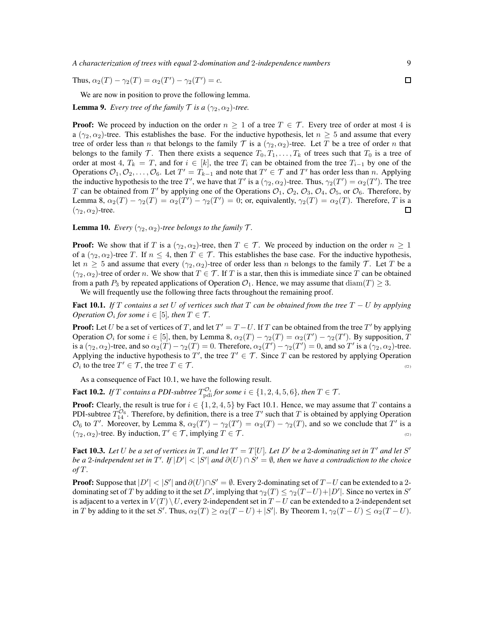Thus,  $\alpha_2(T) - \gamma_2(T) = \alpha_2(T') - \gamma_2(T') = c$ .

We are now in position to prove the following lemma.

**Lemma 9.** *Every tree of the family*  $\mathcal{T}$  *is a*  $(\gamma_2, \alpha_2)$ -tree.

**Proof:** We proceed by induction on the order  $n \geq 1$  of a tree  $T \in \mathcal{T}$ . Every tree of order at most 4 is a ( $\gamma_2, \alpha_2$ )-tree. This establishes the base. For the inductive hypothesis, let  $n \geq 5$  and assume that every tree of order less than n that belongs to the family T is a  $(\gamma_2, \alpha_2)$ -tree. Let T be a tree of order n that belongs to the family T. Then there exists a sequence  $T_0, T_1, \ldots, T_k$  of trees such that  $T_0$  is a tree of order at most 4,  $T_k = T$ , and for  $i \in [k]$ , the tree  $T_i$  can be obtained from the tree  $T_{i-1}$  by one of the Operations  $\mathcal{O}_1, \mathcal{O}_2, \ldots, \mathcal{O}_6$ . Let  $T' = T_{k-1}$  and note that  $T' \in \mathcal{T}$  and  $T'$  has order less than n. Applying the inductive hypothesis to the tree T', we have that T' is a  $(\gamma_2, \alpha_2)$ -tree. Thus,  $\gamma_2(T') = \alpha_2(T')$ . The tree T can be obtained from T' by applying one of the Operations  $\mathcal{O}_1$ ,  $\mathcal{O}_2$ ,  $\mathcal{O}_3$ ,  $\mathcal{O}_4$ ,  $\mathcal{O}_5$ , or  $\mathcal{O}_6$ . Therefore, by Lemma 8,  $\alpha_2(T) - \gamma_2(T) = \alpha_2(T') - \gamma_2(T') = 0$ ; or, equivalently,  $\gamma_2(T) = \alpha_2(T)$ . Therefore, T is a  $(\gamma_2, \alpha_2)$ -tree.  $\Box$ 

**Lemma 10.** *Every* ( $\gamma_2$ ,  $\alpha_2$ )-tree belongs to the family  $\mathcal{T}$ .

**Proof:** We show that if T is a  $(\gamma_2, \alpha_2)$ -tree, then  $T \in \mathcal{T}$ . We proceed by induction on the order  $n \geq 1$ of a  $(\gamma_2, \alpha_2)$ -tree T. If  $n \leq 4$ , then  $T \in \mathcal{T}$ . This establishes the base case. For the inductive hypothesis, let  $n \geq 5$  and assume that every  $(\gamma_2, \alpha_2)$ -tree of order less than n belongs to the family T. Let T be a  $(\gamma_2, \alpha_2)$ -tree of order n. We show that  $T \in \mathcal{T}$ . If T is a star, then this is immediate since T can be obtained from a path  $P_3$  by repeated applications of Operation  $\mathcal{O}_1$ . Hence, we may assume that  $\text{diam}(T) \geq 3$ .

We will frequently use the following three facts throughout the remaining proof.

Fact 10.1. *If* T *contains a set* U *of vertices such that* T *can be obtained from the tree* T − U *by applying Operation*  $O_i$  *for some*  $i \in [5]$ *, then*  $T \in \mathcal{T}$ *.* 

**Proof:** Let U be a set of vertices of T, and let  $T' = T - U$ . If T can be obtained from the tree T' by applying Operation  $\mathcal{O}_i$  for some  $i \in [5]$ , then, by Lemma 8,  $\alpha_2(T) - \gamma_2(T) = \alpha_2(T') - \gamma_2(T')$ . By supposition, T is a  $(\gamma_2, \alpha_2)$ -tree, and so  $\alpha_2(T) - \gamma_2(T) = 0$ . Therefore,  $\alpha_2(T') - \gamma_2(T') = 0$ , and so T' is a  $(\gamma_2, \alpha_2)$ -tree. Applying the inductive hypothesis to T', the tree  $T' \in \mathcal{T}$ . Since T can be restored by applying Operation  $\mathcal{O}_i$  to the tree  $T' \in \mathcal{T}$ , the tree  $T \in \mathcal{T}$ .

As a consequence of Fact 10.1, we have the following result.

**Fact 10.2.** If T contains a PDI-subtree  $T_{\text{pdf}}^{\mathcal{O}_i}$  for some  $i \in \{1, 2, 4, 5, 6\}$ , then  $T \in \mathcal{T}$ .

**Proof:** Clearly, the result is true for  $i \in \{1, 2, 4, 5\}$  by Fact 10.1. Hence, we may assume that T contains a PDI-subtree  $T_{14}^{\mathcal{O}_6}$ . Therefore, by definition, there is a tree T' such that T is obtained by applying Operation  $\mathcal{O}_6$  to T'. Moreover, by Lemma 8,  $\alpha_2(T') - \gamma_2(T') = \alpha_2(T) - \gamma_2(T)$ , and so we conclude that T' is a  $(\gamma_2, \alpha_2)$ -tree. By induction,  $T' \in \mathcal{T}$ , implying  $T \in \mathcal{T}$ .

Fact 10.3. Let U be a set of vertices in T, and let  $T' = T[U]$ . Let D' be a 2-dominating set in T' and let S' *be a 2-independent set in*  $T'$ *. If*  $|D'|$  <  $|S'|$  and  $\partial(U) \cap S' = \emptyset$ , then we have a contradiction to the choice *of* T *.*

**Proof:** Suppose that  $|D'| < |S'|$  and  $\partial(U) \cap S' = \emptyset$ . Every 2-dominating set of  $T-U$  can be extended to a 2dominating set of T by adding to it the set D', implying that  $\gamma_2(T) \leq \gamma_2(T-U) + |D'|$ . Since no vertex in S' is adjacent to a vertex in  $V(T) \setminus U$ , every 2-independent set in  $T-U$  can be extended to a 2-independent set in T by adding to it the set S'. Thus,  $\alpha_2(T) \ge \alpha_2(T-U) + |S'|$ . By Theorem  $1, \gamma_2(T-U) \le \alpha_2(T-U)$ .

 $\Box$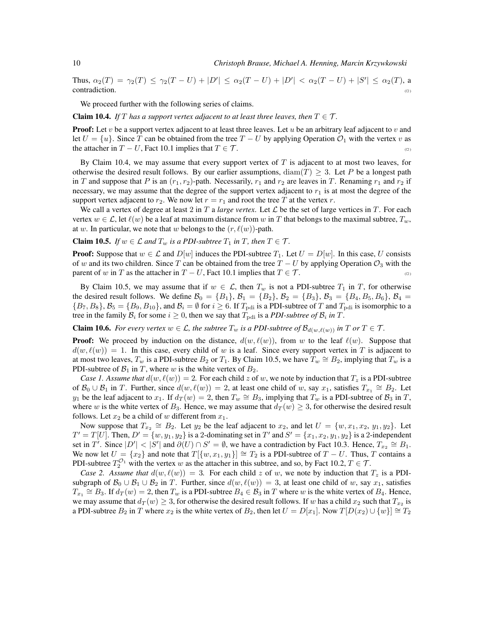Thus,  $\alpha_2(T) = \gamma_2(T) \leq \gamma_2(T-U) + |D'| \leq \alpha_2(T-U) + |D'| < \alpha_2(T-U) + |S'| \leq \alpha_2(T)$ , a contradiction.  $\Box$ 

We proceed further with the following series of claims.

**Claim 10.4.** *If* T has a support vertex adjacent to at least three leaves, then  $T \in \mathcal{T}$ *.* 

**Proof:** Let  $v$  be a support vertex adjacent to at least three leaves. Let  $u$  be an arbitrary leaf adjacent to  $v$  and let  $U = \{u\}$ . Since T can be obtained from the tree  $T - U$  by applying Operation  $\mathcal{O}_1$  with the vertex v as the attacher in  $T - U$ , Fact 10.1 implies that  $T \in \mathcal{T}$ . (□)

By Claim 10.4, we may assume that every support vertex of  $T$  is adjacent to at most two leaves, for otherwise the desired result follows. By our earlier assumptions,  $\text{diam}(T) \geq 3$ . Let P be a longest path in T and suppose that P is an  $(r_1, r_2)$ -path. Necessarily,  $r_1$  and  $r_2$  are leaves in T. Renaming  $r_1$  and  $r_2$  if necessary, we may assume that the degree of the support vertex adjacent to  $r_1$  is at most the degree of the support vertex adjacent to  $r_2$ . We now let  $r = r_1$  and root the tree T at the vertex r.

We call a vertex of degree at least 2 in T a *large vertex*. Let  $\mathcal L$  be the set of large vertices in T. For each vertex  $w \in \mathcal{L}$ , let  $\ell(w)$  be a leaf at maximum distance from w in T that belongs to the maximal subtree,  $T_w$ , at w. In particular, we note that w belongs to the  $(r, \ell(w))$ -path.

**Claim 10.5.** *If*  $w \in \mathcal{L}$  *and*  $T_w$  *is a PDI-subtree*  $T_1$  *in*  $T$ *, then*  $T \in \mathcal{T}$ *.* 

**Proof:** Suppose that  $w \in \mathcal{L}$  and  $D[w]$  induces the PDI-subtree  $T_1$ . Let  $U = D[w]$ . In this case, U consists of w and its two children. Since T can be obtained from the tree  $T - U$  by applying Operation  $\mathcal{O}_3$  with the parent of w in T as the attacher in  $T - U$ , Fact 10.1 implies that  $T \in \mathcal{T}$ .

By Claim 10.5, we may assume that if  $w \in \mathcal{L}$ , then  $T_w$  is not a PDI-subtree  $T_1$  in  $T$ , for otherwise the desired result follows. We define  $B_0 = \{B_1\}$ ,  $B_1 = \{B_2\}$ ,  $B_2 = \{B_3\}$ ,  $B_3 = \{B_4, B_5, B_6\}$ ,  $B_4 =$  $\{B_7, B_8\}, \mathcal{B}_5 = \{B_9, B_{10}\}, \text{and } \mathcal{B}_i = \emptyset \text{ for } i \geq 6. \text{ If } T_{\text{pdi}} \text{ is a PDI-subtree of } T \text{ and } T_{\text{pdi}} \text{ is isomorphic to a } T_{\text{pdi}} \text{ is a finite number of } T \text{ and } T_{\text{pdi}} \text{ is a finite number of } T \text{ and } T_{\text{pdi}} \text{ is a finite number of } T \text{ and } T_{\text{pdi}} \text{ is a finite number of } T \text{ and } T_{\text{pdi}} \text{ is a finite number of } T \text{ and$ tree in the family  $B_i$  for some  $i \geq 0$ , then we say that  $T_{\text{pdi}}$  is a *PDI-subtree of*  $B_i$  in  $T$ .

**Claim 10.6.** *For every vertex*  $w \in \mathcal{L}$ *, the subtree*  $T_w$  *is a PDI-subtree of*  $\mathcal{B}_{d(w,\ell(w))}$  *in*  $T$  *or*  $T \in \mathcal{T}$ *.* 

**Proof:** We proceed by induction on the distance,  $d(w, \ell(w))$ , from w to the leaf  $\ell(w)$ . Suppose that  $d(w, \ell(w)) = 1$ . In this case, every child of w is a leaf. Since every support vertex in T is adjacent to at most two leaves,  $T_w$  is a PDI-subtree  $B_2$  or  $T_1$ . By Claim 10.5, we have  $T_w \cong B_2$ , implying that  $T_w$  is a PDI-subtree of  $B_1$  in T, where w is the white vertex of  $B_2$ .

*Case 1. Assume that*  $d(w, \ell(w)) = 2$ . For each child z of w, we note by induction that  $T_z$  is a PDI-subtree of  $\mathcal{B}_0 \cup \mathcal{B}_1$  in T. Further, since  $d(w, \ell(w)) = 2$ , at least one child of w, say  $x_1$ , satisfies  $T_{x_1} \cong B_2$ . Let  $y_1$  be the leaf adjacent to  $x_1$ . If  $d_T(w) = 2$ , then  $T_w \cong B_3$ , implying that  $T_w$  is a PDI-subtree of  $B_3$  in  $T$ , where w is the white vertex of  $B_3$ . Hence, we may assume that  $d_T(w) \geq 3$ , for otherwise the desired result follows. Let  $x_2$  be a child of w different from  $x_1$ .

Now suppose that  $T_{x_2} \cong B_2$ . Let  $y_2$  be the leaf adjacent to  $x_2$ , and let  $U = \{w, x_1, x_2, y_1, y_2\}$ . Let  $T' = T[U]$ . Then,  $D' = \{w, y_1, y_2\}$  is a 2-dominating set in  $T'$  and  $S' = \{x_1, x_2, y_1, y_2\}$  is a 2-independent set in T<sup>*i*</sup>. Since  $|D'| < |S'|$  and  $\partial(U) \cap S' = \emptyset$ , we have a contradiction by Fact 10.3. Hence,  $T_{x_2} \cong B_1$ . We now let  $U = \{x_2\}$  and note that  $T[\{w, x_1, y_1\}] \cong T_2$  is a PDI-subtree of  $T - U$ . Thus, T contains a PDI-subtree  $T_2^{\mathcal{O}_1}$  with the vertex w as the attacher in this subtree, and so, by Fact 10.2,  $T \in \mathcal{T}$ .

*Case 2. Assume that*  $d(w, \ell(w)) = 3$ . For each child z of w, we note by induction that  $T_z$  is a PDIsubgraph of  $\mathcal{B}_0 \cup \mathcal{B}_1 \cup \mathcal{B}_2$  in T. Further, since  $d(w, \ell(w)) = 3$ , at least one child of w, say  $x_1$ , satisfies  $T_{x_1} \cong B_3$ . If  $d_T(w) = 2$ , then  $T_w$  is a PDI-subtree  $B_4 \in \mathcal{B}_3$  in T where w is the white vertex of  $B_4$ . Hence, we may assume that  $d_T(w) \ge 3$ , for otherwise the desired result follows. If w has a child  $x_2$  such that  $T_{x_2}$  is a PDI-subtree  $B_2$  in T where  $x_2$  is the white vertex of  $B_2$ , then let  $U = D[x_1]$ . Now  $T[D(x_2) \cup \{w\}] \cong T_2$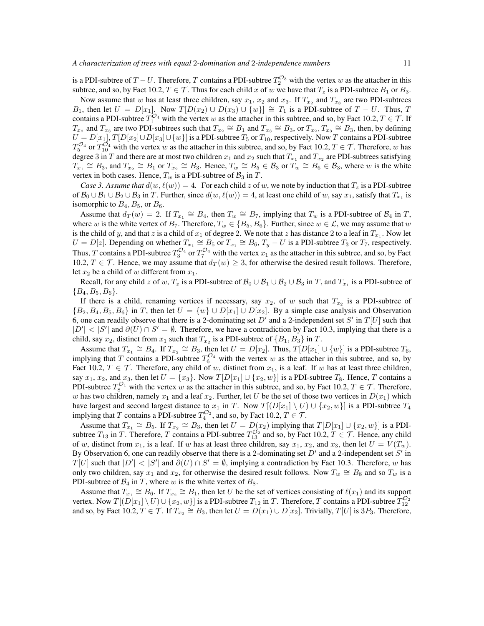is a PDI-subtree of  $T-U$ . Therefore, T contains a PDI-subtree  $T_2^{\mathcal{O}_3}$  with the vertex w as the attacher in this subtree, and so, by Fact 10.2,  $T \in \mathcal{T}$ . Thus for each child x of w we have that  $T_z$  is a PDI-subtree  $B_1$  or  $B_3$ .

Now assume that w has at least three children, say  $x_1$ ,  $x_2$  and  $x_3$ . If  $T_{x_2}$  and  $T_{x_3}$  are two PDI-subtrees B<sub>1</sub>, then let  $U = D[x_1]$ . Now  $T[D(x_2) \cup D(x_3) \cup \{w\}] \cong T_1$  is a PDI-subtree of  $T - U$ . Thus, T contains a PDI-subtree  $T_1^{\mathcal{O}_4}$  with the vertex w as the attacher in this subtree, and so, by Fact 10.2,  $T \in \mathcal{T}$ . If  $T_{x_2}$  and  $T_{x_3}$  are two PDI-subtrees such that  $T_{x_2} \cong B_1$  and  $T_{x_3} \cong B_3$ , or  $T_{x_2}, T_{x_3} \cong B_3$ , then, by defining  $U = D[x_1], T[D[x_2] \cup D[x_3] \cup \{w\}]$  is a PDI-subtree  $T_5$  or  $T_{10}$ , respectively. Now  $T$  contains a PDI-subtree  $T_5^{\mathcal{O}_4}$  or  $T_{10}^{\mathcal{O}_4}$  with the vertex w as the attacher in this subtree, and so, by Fact 10.2,  $T \in \mathcal{T}$ . Therefore, w has degree 3 in T and there are at most two children  $x_1$  and  $x_2$  such that  $T_{x_1}$  and  $T_{x_2}$  are PDI-subtrees satisfying  $T_{x_1} \cong B_3$ , and  $T_{x_2} \cong B_1$  or  $T_{x_2} \cong B_3$ . Hence,  $T_w \cong B_5 \in \mathcal{B}_3$  or  $T_w \cong B_6 \in \mathcal{B}_3$ , where w is the white vertex in both cases. Hence,  $T_w$  is a PDI-subtree of  $\mathcal{B}_3$  in  $T$ .

*Case 3. Assume that*  $d(w, \ell(w)) = 4$ . For each child z of w, we note by induction that  $T_z$  is a PDI-subtree of  $\mathcal{B}_0 \cup \mathcal{B}_1 \cup \mathcal{B}_2 \cup \mathcal{B}_3$  in T. Further, since  $d(w, \ell(w)) = 4$ , at least one child of w, say  $x_1$ , satisfy that  $T_{x_1}$  is isomorphic to  $B_4$ ,  $B_5$ , or  $B_6$ .

Assume that  $d_T(w) = 2$ . If  $T_{x_1} \cong B_4$ , then  $T_w \cong B_7$ , implying that  $T_w$  is a PDI-subtree of  $B_4$  in  $T$ , where w is the white vertex of  $B_7$ . Therefore,  $T_w \in \{B_5, B_6\}$ . Further, since  $w \in \mathcal{L}$ , we may assume that w is the child of y, and that z is a child of  $x_1$  of degree 2. We note that z has distance 2 to a leaf in  $T_{x_1}$ . Now let  $U = D[z]$ . Depending on whether  $T_{x_1} \cong B_5$  or  $T_{x_1} \cong B_6$ ,  $T_y - U$  is a PDI-subtree  $T_3$  or  $T_7$ , respectively. Thus, T contains a PDI-subtree  $T_3^{\mathcal{O}_4}$  or  $T_7^{\mathcal{O}_4}$  with the vertex  $x_1$  as the attacher in this subtree, and so, by Fact 10.2,  $T \in \mathcal{T}$ . Hence, we may assume that  $d_T(w) \geq 3$ , for otherwise the desired result follows. Therefore, let  $x_2$  be a child of w different from  $x_1$ .

Recall, for any child z of w,  $T_z$  is a PDI-subtree of  $B_0 \cup B_1 \cup B_2 \cup B_3$  in T, and  $T_{x_1}$  is a PDI-subtree of  ${B_4, B_5, B_6}.$ 

If there is a child, renaming vertices if necessary, say  $x_2$ , of w such that  $T_{x_2}$  is a PDI-subtree of  $\{B_2, B_4, B_5, B_6\}$  in T, then let  $U = \{w\} \cup D[x_1] \cup D[x_2]$ . By a simple case analysis and Observation 6, one can readily observe that there is a 2-dominating set  $D'$  and a 2-independent set S' in  $T[U]$  such that  $|D'| < |S'|$  and  $\partial(U) \cap S' = \emptyset$ . Therefore, we have a contradiction by Fact 10.3, implying that there is a child, say  $x_2$ , distinct from  $x_1$  such that  $T_{x_2}$  is a PDI-subtree of  $\{B_1, B_3\}$  in  $T$ .

Assume that  $T_{x_1} \cong B_4$ . If  $T_{x_2} \cong B_3$ , then let  $U = D[x_2]$ . Thus,  $T[D[x_1] \cup \{w\}]$  is a PDI-subtree  $T_6$ , implying that T contains a PDI-subtree  $T_6^{\mathcal{O}_4}$  with the vertex w as the attacher in this subtree, and so, by Fact 10.2,  $T \in \mathcal{T}$ . Therefore, any child of w, distinct from  $x_1$ , is a leaf. If w has at least three children, say  $x_1, x_2$ , and  $x_3$ , then let  $U = \{x_3\}$ . Now  $T[D[x_1] \cup \{x_2, w\}]$  is a PDI-subtree  $T_8$ . Hence, T contains a PDI-subtree  $T_8^{\mathcal{O}_1}$  with the vertex w as the attacher in this subtree, and so, by Fact 10.2,  $T \in \mathcal{T}$ . Therefore, w has two children, namely  $x_1$  and a leaf  $x_2$ . Further, let U be the set of those two vertices in  $D(x_1)$  which have largest and second largest distance to  $x_1$  in T. Now  $T[(D[x_1] \setminus U) \cup \{x_2, w\}]$  is a PDI-subtree  $T_4$ implying that T contains a PDI-subtree  $T_4^{\mathcal{O}_2}$ , and so, by Fact 10.2,  $T \in \mathcal{T}$ .

Assume that  $T_{x_1} \cong B_5$ . If  $T_{x_2} \cong B_3$ , then let  $U = D(x_2)$  implying that  $T[D[x_1] \cup \{x_2, w\}]$  is a PDIsubtree  $T_{13}$  in T. Therefore, T contains a PDI-subtree  $T_{13}^{\mathcal{O}_2}$  and so, by Fact 10.2,  $T \in \mathcal{T}$ . Hence, any child of w, distinct from  $x_1$ , is a leaf. If w has at least three children, say  $x_1, x_2$ , and  $x_3$ , then let  $U = V(T_w)$ . By Observation 6, one can readily observe that there is a 2-dominating set  $D'$  and a 2-independent set  $S'$  in  $T[U]$  such that  $|D'| < |S'|$  and  $\partial(U) \cap S' = \emptyset$ , implying a contradiction by Fact 10.3. Therefore, w has only two children, say  $x_1$  and  $x_2$ , for otherwise the desired result follows. Now  $T_w \cong B_8$  and so  $T_w$  is a PDI-subtree of  $B_4$  in T, where w is the white vertex of  $B_8$ .

Assume that  $T_{x_1} \cong B_6$ . If  $T_{x_2} \cong B_1$ , then let U be the set of vertices consisting of  $\ell(x_1)$  and its support vertex. Now  $T([D[x_1]\setminus U)\cup \{x_2,w\}]$  is a PDI-subtree  $T_{12}$  in T. Therefore, T contains a PDI-subtree  $T_{12}^{O_2}$ and so, by Fact 10.2,  $T \in \mathcal{T}$ . If  $T_{x_2} \cong B_3$ , then let  $U = D(x_1) \cup D[x_2]$ . Trivially,  $T[U]$  is 3 $P_3$ . Therefore,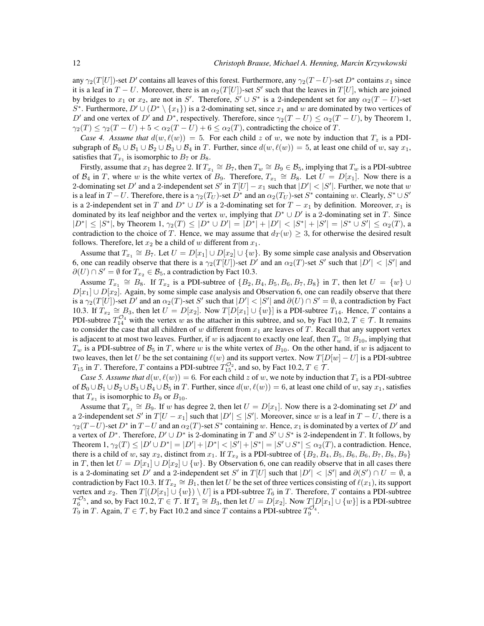any  $\gamma_2(T[U])$ -set  $D'$  contains all leaves of this forest. Furthermore, any  $\gamma_2(T-U)$ -set  $D^*$  contains  $x_1$  since it is a leaf in  $T - U$ . Moreover, there is an  $\alpha_2(T[U])$ -set S' such that the leaves in  $T[U]$ , which are joined by bridges to  $x_1$  or  $x_2$ , are not in S'. Therefore,  $S' \cup S^*$  is a 2-independent set for any  $\alpha_2(T-U)$ -set S<sup>\*</sup>. Furthermore,  $D' \cup (D^* \setminus \{x_1\})$  is a 2-dominating set, since  $x_1$  and w are dominated by two vertices of D' and one vertex of D' and  $D^*$ , respectively. Therefore, since  $\gamma_2(T-U) \leq \alpha_2(T-U)$ , by Theorem 1,  $\gamma_2(T) \leq \gamma_2(T-U) + 5 < \alpha_2(T-U) + 6 \leq \alpha_2(T)$ , contradicting the choice of T.

*Case 4. Assume that*  $d(w, \ell(w)) = 5$ . For each child z of w, we note by induction that  $T_z$  is a PDIsubgraph of  $\mathcal{B}_0 \cup \mathcal{B}_1 \cup \mathcal{B}_2 \cup \mathcal{B}_3 \cup \mathcal{B}_4$  in T. Further, since  $d(w, \ell(w)) = 5$ , at least one child of w, say  $x_1$ , satisfies that  $T_{x_1}$  is isomorphic to  $B_7$  or  $B_8$ .

Firstly, assume that  $x_1$  has degree 2. If  $T_{x_1} \cong B_7$ , then  $T_w \cong B_9 \in \mathcal{B}_5$ , implying that  $T_w$  is a PDI-subtree of  $\mathcal{B}_4$  in T, where w is the white vertex of  $B_9$ . Therefore,  $T_{x_1} \cong B_8$ . Let  $U = D[x_1]$ . Now there is a 2-dominating set D' and a 2-independent set S' in  $T[U] - x_1$  such that  $|D'| < |S'|$ . Further, we note that w is a leaf in  $T-U$ . Therefore, there is a  $\gamma_2(T_U)$ -set  $D^*$  and an  $\alpha_2(T_U)$ -set  $S^*$  containing w. Clearly,  $S^* \cup S'$ is a 2-independent set in T and  $D^* \cup D'$  is a 2-dominating set for  $T - x_1$  by definition. Moreover,  $x_1$  is dominated by its leaf neighbor and the vertex w, implying that  $D^* \cup D'$  is a 2-dominating set in T. Since  $|D^*| \leq |S^*|$ , by Theorem 1,  $\gamma_2(T) \leq |D^* \cup D'| = |D^*| + |D'| < |S^*| + |S'| = |S^* \cup S'| \leq \alpha_2(T)$ , a contradiction to the choice of T. Hence, we may assume that  $d_T(w) \geq 3$ , for otherwise the desired result follows. Therefore, let  $x_2$  be a child of w different from  $x_1$ .

Assume that  $T_{x_1} \cong B_7$ . Let  $U = D[x_1] \cup D[x_2] \cup \{w\}$ . By some simple case analysis and Observation 6, one can readily observe that there is a  $\gamma_2(T[U])$ -set D' and an  $\alpha_2(T)$ -set S' such that  $|D'| < |S'|$  and  $\partial(U) \cap S' = \emptyset$  for  $T_{x_2} \in \mathcal{B}_5$ , a contradiction by Fact 10.3.

Assume  $T_{x_1} \cong B_8$ . If  $T_{x_2}$  is a PDI-subtree of  $\{B_2, B_4, B_5, B_6, B_7, B_8\}$  in T, then let  $U = \{w\} \cup$  $D[x_1] \cup D[x_2]$ . Again, by some simple case analysis and Observation 6, one can readily observe that there is a  $\gamma_2(T[U])$ -set D' and an  $\alpha_2(T)$ -set S' such that  $|D'| < |S'|$  and  $\partial(U) \cap S' = \emptyset$ , a contradiction by Fact 10.3. If  $T_{x_2} \cong B_3$ , then let  $U = D[x_2]$ . Now  $T[D[x_1] \cup \{w\}]$  is a PDI-subtree  $T_{14}$ . Hence, T contains a PDI-subtree  $T_{14}^{\mathcal{O}_4}$  with the vertex w as the attacher in this subtree, and so, by Fact 10.2,  $T \in \mathcal{T}$ . It remains to consider the case that all children of w different from  $x_1$  are leaves of T. Recall that any support vertex is adjacent to at most two leaves. Further, if w is adjacent to exactly one leaf, then  $T_w \cong B_{10}$ , implying that  $T_w$  is a PDI-subtree of  $\mathcal{B}_5$  in T, where w is the white vertex of  $B_{10}$ . On the other hand, if w is adjacent to two leaves, then let  $U$  be the set containing  $\ell(w)$  and its support vertex. Now  $T[D[w]-U]$  is a PDI-subtree  $T_{15}$  in T. Therefore, T contains a PDI-subtree  $T_{15}^{\mathcal{O}_2}$ , and so, by Fact 10.2,  $T \in \mathcal{T}$ .

*Case 5. Assume that*  $d(w, \ell(w)) = 6$ . For each child z of w, we note by induction that  $T_z$  is a PDI-subtree of  $B_0 \cup B_1 \cup B_2 \cup B_3 \cup B_4 \cup B_5$  in T. Further, since  $d(w, \ell(w)) = 6$ , at least one child of w, say  $x_1$ , satisfies that  $T_{x_1}$  is isomorphic to  $B_9$  or  $B_{10}$ .

Assume that  $T_{x_1} \cong B_9$ . If w has degree 2, then let  $U = D[x_1]$ . Now there is a 2-dominating set D' and a 2-independent set S' in  $T[U - x_1]$  such that  $|D'| \leq |S'|$ . Moreover, since w is a leaf in  $T - U$ , there is a  $\gamma_2(T-U)$ -set  $D^*$  in  $T-U$  and an  $\alpha_2(T)$ -set  $S^*$  containing w. Hence,  $x_1$  is dominated by a vertex of  $D'$  and a vertex of  $D^*$ . Therefore,  $D' \cup D^*$  is 2-dominating in T and  $S' \cup S^*$  is 2-independent in T. It follows, by Theorem  $1, \gamma_2(T) \le |D' \cup D^*| = |D'| + |D^*| < |S'| + |S^*| = |S' \cup S^*| \le \alpha_2(T)$ , a contradiction. Hence, there is a child of w, say  $x_2$ , distinct from  $x_1$ . If  $T_{x_2}$  is a PDI-subtree of  $\{B_2, B_4, B_5, B_6, B_6, B_7, B_8, B_9\}$ in T, then let  $U = D[x_1] \cup D[x_2] \cup \{w\}$ . By Observation 6, one can readily observe that in all cases there is a 2-dominating set  $D'$  and a 2-independent set S' in  $T[U]$  such that  $|D'| < |S'|$  and  $\partial(S') \cap U = \emptyset$ , a contradiction by Fact 10.3. If  $T_{x_2} \cong B_1$ , then let U be the set of three vertices consisting of  $\ell(x_1)$ , its support vertex and  $x_2$ . Then  $T[(D[x_1] \cup \{w\}) \setminus U]$  is a PDI-subtree  $T_6$  in T. Therefore, T contains a PDI-subtree  $T_6^{\mathcal{O}_5}$ , and so, by Fact 10.2,  $T \in \mathcal{T}$ . If  $T_z \cong B_3$ , then let  $U = D[x_2]$ . Now  $T$ [D[ $x_1$ ]  $\cup \{w\}$ ] is a PDI-subtree  $T_9$  in T. Again,  $T \in \mathcal{T}$ , by Fact 10.2 and since T contains a PDI-subtree  $T_9^{\mathcal{O}_4}$ .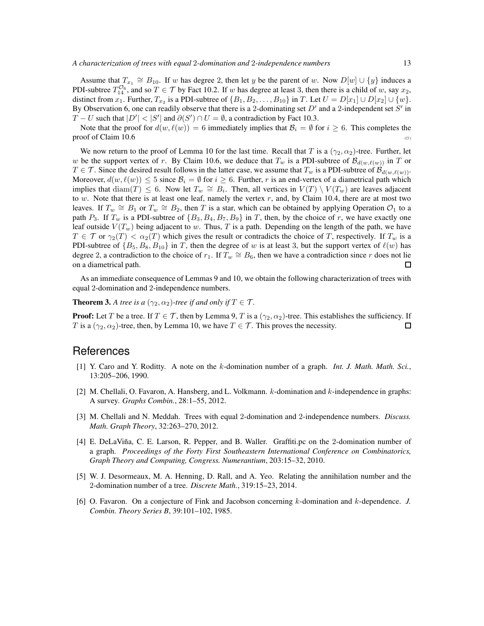Assume that  $T_{x_1} \cong B_{10}$ . If w has degree 2, then let y be the parent of w. Now  $D[w] \cup \{y\}$  induces a PDI-subtree  $T_{14}^{\mathcal{O}_6}$ , and so  $T \in \mathcal{T}$  by Fact 10.2. If w has degree at least 3, then there is a child of w, say  $x_2$ , distinct from  $x_1$ . Further,  $T_{x_2}$  is a PDI-subtree of  $\{B_1, B_2, \ldots, B_{10}\}$  in T. Let  $U = D[x_1] \cup D[x_2] \cup \{w\}$ . By Observation 6, one can readily observe that there is a 2-dominating set  $D'$  and a 2-independent set  $S'$  in  $T-U$  such that  $|D'| < |S'|$  and  $\partial(S') \cap U = \emptyset$ , a contradiction by Fact 10.3.

Note that the proof for  $d(w, \ell(w)) = 6$  immediately implies that  $\mathcal{B}_i = \emptyset$  for  $i \geq 6$ . This completes the  $\mathbf{p}$  proof of Claim 10.6 ( $\Box$ )

We now return to the proof of Lemma 10 for the last time. Recall that T is a  $(\gamma_2, \alpha_2)$ -tree. Further, let w be the support vertex of r. By Claim 10.6, we deduce that  $T_w$  is a PDI-subtree of  $\mathcal{B}_{d(w,\ell(w))}$  in T or  $T \in \mathcal{T}$ . Since the desired result follows in the latter case, we assume that  $T_w$  is a PDI-subtree of  $\mathcal{B}_{d(w,\ell(w))}$ . Moreover,  $d(w, \ell(w)) \le 5$  since  $\mathcal{B}_i = \emptyset$  for  $i \ge 6$ . Further, r is an end-vertex of a diametrical path which implies that  $\text{diam}(T) \leq 6$ . Now let  $T_w \cong B_i$ . Then, all vertices in  $V(T) \setminus V(T_w)$  are leaves adjacent to w. Note that there is at least one leaf, namely the vertex  $r$ , and, by Claim 10.4, there are at most two leaves. If  $T_w \cong B_1$  or  $T_w \cong B_2$ , then T is a star, which can be obtained by applying Operation  $\mathcal{O}_1$  to a path  $P_3$ . If  $T_w$  is a PDI-subtree of  $\{B_3, B_4, B_7, B_9\}$  in T, then, by the choice of r, we have exactly one leaf outside  $V(T_w)$  being adjacent to w. Thus, T is a path. Depending on the length of the path, we have  $T \in \mathcal{T}$  or  $\gamma_2(T) < \alpha_2(T)$  which gives the result or contradicts the choice of T, respectively. If  $T_w$  is a PDI-subtree of  $\{B_5, B_8, B_{10}\}$  in T, then the degree of w is at least 3, but the support vertex of  $\ell(w)$  has degree 2, a contradiction to the choice of  $r_1$ . If  $T_w \cong B_6$ , then we have a contradiction since r does not lie on a diametrical path.  $\Box$ 

As an immediate consequence of Lemmas 9 and 10, we obtain the following characterization of trees with equal 2-domination and 2-independence numbers.

**Theorem 3.** *A tree is a*  $(\gamma_2, \alpha_2)$ *-tree if and only if*  $T \in \mathcal{T}$ *.* 

**Proof:** Let T be a tree. If  $T \in \mathcal{T}$ , then by Lemma 9, T is a  $(\gamma_2, \alpha_2)$ -tree. This establishes the sufficiency. If T is a  $(\gamma_2, \alpha_2)$ -tree, then, by Lemma 10, we have  $T \in \mathcal{T}$ . This proves the necessity.  $\Box$ 

#### References

- [1] Y. Caro and Y. Roditty. A note on the k-domination number of a graph. *Int. J. Math. Math. Sci.*, 13:205–206, 1990.
- [2] M. Chellali, O. Favaron, A. Hansberg, and L. Volkmann. k-domination and k-independence in graphs: A survey. *Graphs Combin.*, 28:1–55, 2012.
- [3] M. Chellali and N. Meddah. Trees with equal 2-domination and 2-independence numbers. *Discuss. Math. Graph Theory*, 32:263–270, 2012.
- [4] E. DeLaViña, C. E. Larson, R. Pepper, and B. Waller. Graffiti.pc on the 2-domination number of a graph. *Proceedings of the Forty First Southeastern International Conference on Combinatorics, Graph Theory and Computing, Congress. Numerantium*, 203:15–32, 2010.
- [5] W. J. Desormeaux, M. A. Henning, D. Rall, and A. Yeo. Relating the annihilation number and the 2-domination number of a tree. *Discrete Math.*, 319:15–23, 2014.
- [6] O. Favaron. On a conjecture of Fink and Jacobson concerning k-domination and k-dependence. *J. Combin. Theory Series B*, 39:101–102, 1985.